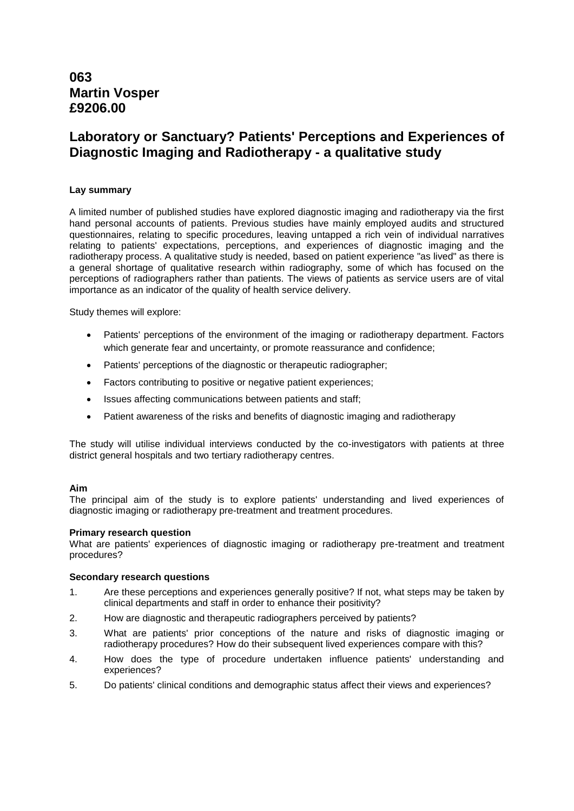# **063 Martin Vosper £9206.00**

# **Laboratory or Sanctuary? Patients' Perceptions and Experiences of Diagnostic Imaging and Radiotherapy - a qualitative study**

# **Lay summary**

A limited number of published studies have explored diagnostic imaging and radiotherapy via the first hand personal accounts of patients. Previous studies have mainly employed audits and structured questionnaires, relating to specific procedures, leaving untapped a rich vein of individual narratives relating to patients' expectations, perceptions, and experiences of diagnostic imaging and the radiotherapy process. A qualitative study is needed, based on patient experience "as lived" as there is a general shortage of qualitative research within radiography, some of which has focused on the perceptions of radiographers rather than patients. The views of patients as service users are of vital importance as an indicator of the quality of health service delivery.

Study themes will explore:

- Patients' perceptions of the environment of the imaging or radiotherapy department. Factors which generate fear and uncertainty, or promote reassurance and confidence;
- Patients' perceptions of the diagnostic or therapeutic radiographer;
- Factors contributing to positive or negative patient experiences;
- Issues affecting communications between patients and staff;
- Patient awareness of the risks and benefits of diagnostic imaging and radiotherapy

The study will utilise individual interviews conducted by the co-investigators with patients at three district general hospitals and two tertiary radiotherapy centres.

# **Aim**

The principal aim of the study is to explore patients' understanding and lived experiences of diagnostic imaging or radiotherapy pre-treatment and treatment procedures.

# **Primary research question**

What are patients' experiences of diagnostic imaging or radiotherapy pre-treatment and treatment procedures?

# **Secondary research questions**

- 1. Are these perceptions and experiences generally positive? If not, what steps may be taken by clinical departments and staff in order to enhance their positivity?
- 2. How are diagnostic and therapeutic radiographers perceived by patients?
- 3. What are patients' prior conceptions of the nature and risks of diagnostic imaging or radiotherapy procedures? How do their subsequent lived experiences compare with this?
- 4. How does the type of procedure undertaken influence patients' understanding and experiences?
- 5. Do patients' clinical conditions and demographic status affect their views and experiences?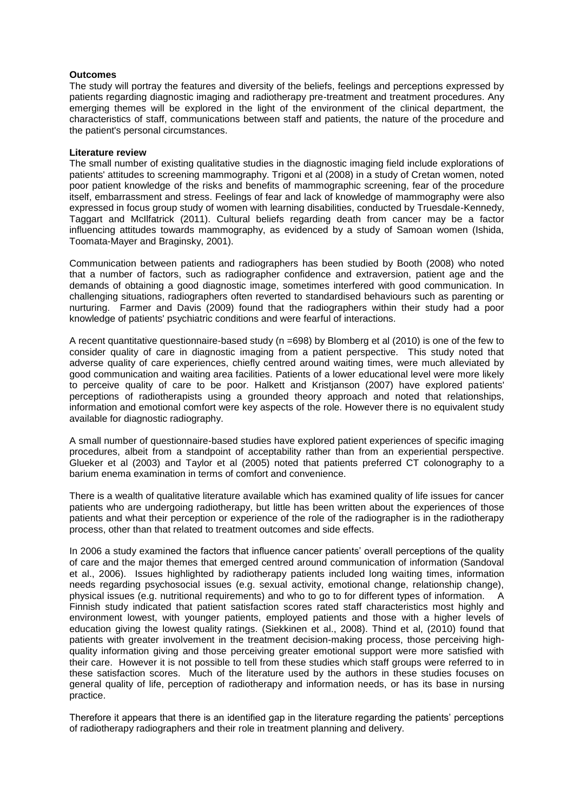# **Outcomes**

The study will portray the features and diversity of the beliefs, feelings and perceptions expressed by patients regarding diagnostic imaging and radiotherapy pre-treatment and treatment procedures. Any emerging themes will be explored in the light of the environment of the clinical department, the characteristics of staff, communications between staff and patients, the nature of the procedure and the patient's personal circumstances.

# **Literature review**

The small number of existing qualitative studies in the diagnostic imaging field include explorations of patients' attitudes to screening mammography. Trigoni et al (2008) in a study of Cretan women, noted poor patient knowledge of the risks and benefits of mammographic screening, fear of the procedure itself, embarrassment and stress. Feelings of fear and lack of knowledge of mammography were also expressed in focus group study of women with learning disabilities, conducted by Truesdale-Kennedy, Taggart and McIlfatrick (2011). Cultural beliefs regarding death from cancer may be a factor influencing attitudes towards mammography, as evidenced by a study of Samoan women (Ishida, Toomata-Mayer and Braginsky, 2001).

Communication between patients and radiographers has been studied by Booth (2008) who noted that a number of factors, such as radiographer confidence and extraversion, patient age and the demands of obtaining a good diagnostic image, sometimes interfered with good communication. In challenging situations, radiographers often reverted to standardised behaviours such as parenting or nurturing. Farmer and Davis (2009) found that the radiographers within their study had a poor knowledge of patients' psychiatric conditions and were fearful of interactions.

A recent quantitative questionnaire-based study (n =698) by Blomberg et al (2010) is one of the few to consider quality of care in diagnostic imaging from a patient perspective. This study noted that adverse quality of care experiences, chiefly centred around waiting times, were much alleviated by good communication and waiting area facilities. Patients of a lower educational level were more likely to perceive quality of care to be poor. Halkett and Kristjanson (2007) have explored patients' perceptions of radiotherapists using a grounded theory approach and noted that relationships, information and emotional comfort were key aspects of the role. However there is no equivalent study available for diagnostic radiography.

A small number of questionnaire-based studies have explored patient experiences of specific imaging procedures, albeit from a standpoint of acceptability rather than from an experiential perspective. Glueker et al (2003) and Taylor et al (2005) noted that patients preferred CT colonography to a barium enema examination in terms of comfort and convenience.

There is a wealth of qualitative literature available which has examined quality of life issues for cancer patients who are undergoing radiotherapy, but little has been written about the experiences of those patients and what their perception or experience of the role of the radiographer is in the radiotherapy process, other than that related to treatment outcomes and side effects.

In 2006 a study examined the factors that influence cancer patients' overall perceptions of the quality of care and the major themes that emerged centred around communication of information (Sandoval et al., 2006). Issues highlighted by radiotherapy patients included long waiting times, information needs regarding psychosocial issues (e.g. sexual activity, emotional change, relationship change), physical issues (e.g. nutritional requirements) and who to go to for different types of information. A Finnish study indicated that patient satisfaction scores rated staff characteristics most highly and environment lowest, with younger patients, employed patients and those with a higher levels of education giving the lowest quality ratings. (Siekkinen et al., 2008). Thind et al, (2010) found that patients with greater involvement in the treatment decision-making process, those perceiving highquality information giving and those perceiving greater emotional support were more satisfied with their care. However it is not possible to tell from these studies which staff groups were referred to in these satisfaction scores. Much of the literature used by the authors in these studies focuses on general quality of life, perception of radiotherapy and information needs, or has its base in nursing practice.

Therefore it appears that there is an identified gap in the literature regarding the patients' perceptions of radiotherapy radiographers and their role in treatment planning and delivery.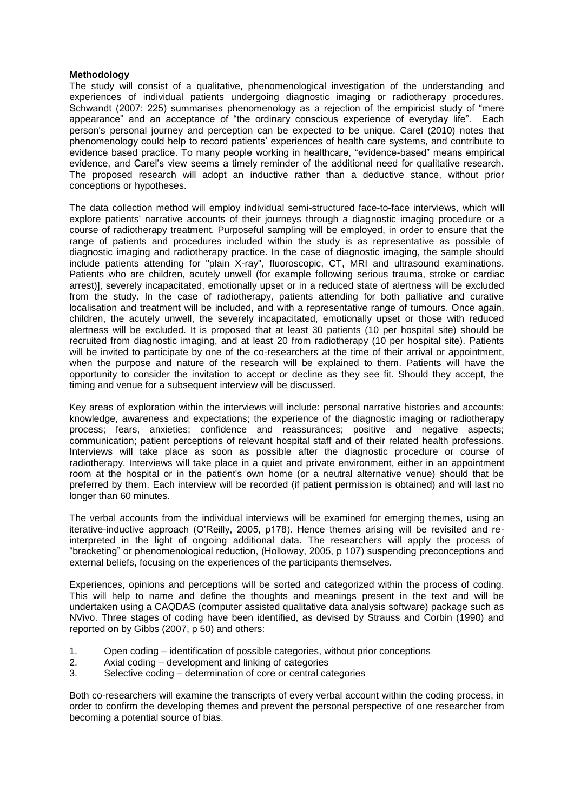#### **Methodology**

The study will consist of a qualitative, phenomenological investigation of the understanding and experiences of individual patients undergoing diagnostic imaging or radiotherapy procedures. Schwandt (2007: 225) summarises phenomenology as a rejection of the empiricist study of "mere appearance" and an acceptance of "the ordinary conscious experience of everyday life". Each person's personal journey and perception can be expected to be unique. Carel (2010) notes that phenomenology could help to record patients' experiences of health care systems, and contribute to evidence based practice. To many people working in healthcare, "evidence-based" means empirical evidence, and Carel's view seems a timely reminder of the additional need for qualitative research. The proposed research will adopt an inductive rather than a deductive stance, without prior conceptions or hypotheses.

The data collection method will employ individual semi-structured face-to-face interviews, which will explore patients' narrative accounts of their journeys through a diagnostic imaging procedure or a course of radiotherapy treatment. Purposeful sampling will be employed, in order to ensure that the range of patients and procedures included within the study is as representative as possible of diagnostic imaging and radiotherapy practice. In the case of diagnostic imaging, the sample should include patients attending for "plain X-ray", fluoroscopic, CT, MRI and ultrasound examinations. Patients who are children, acutely unwell (for example following serious trauma, stroke or cardiac arrest)], severely incapacitated, emotionally upset or in a reduced state of alertness will be excluded from the study. In the case of radiotherapy, patients attending for both palliative and curative localisation and treatment will be included, and with a representative range of tumours. Once again, children, the acutely unwell, the severely incapacitated, emotionally upset or those with reduced alertness will be excluded. It is proposed that at least 30 patients (10 per hospital site) should be recruited from diagnostic imaging, and at least 20 from radiotherapy (10 per hospital site). Patients will be invited to participate by one of the co-researchers at the time of their arrival or appointment, when the purpose and nature of the research will be explained to them. Patients will have the opportunity to consider the invitation to accept or decline as they see fit. Should they accept, the timing and venue for a subsequent interview will be discussed.

Key areas of exploration within the interviews will include: personal narrative histories and accounts; knowledge, awareness and expectations; the experience of the diagnostic imaging or radiotherapy process; fears, anxieties; confidence and reassurances; positive and negative aspects; communication; patient perceptions of relevant hospital staff and of their related health professions. Interviews will take place as soon as possible after the diagnostic procedure or course of radiotherapy. Interviews will take place in a quiet and private environment, either in an appointment room at the hospital or in the patient's own home (or a neutral alternative venue) should that be preferred by them. Each interview will be recorded (if patient permission is obtained) and will last no longer than 60 minutes.

The verbal accounts from the individual interviews will be examined for emerging themes, using an iterative-inductive approach (O'Reilly, 2005, p178). Hence themes arising will be revisited and reinterpreted in the light of ongoing additional data. The researchers will apply the process of "bracketing" or phenomenological reduction, (Holloway, 2005, p 107) suspending preconceptions and external beliefs, focusing on the experiences of the participants themselves.

Experiences, opinions and perceptions will be sorted and categorized within the process of coding. This will help to name and define the thoughts and meanings present in the text and will be undertaken using a CAQDAS (computer assisted qualitative data analysis software) package such as NVivo. Three stages of coding have been identified, as devised by Strauss and Corbin (1990) and reported on by Gibbs (2007, p 50) and others:

- 1. Open coding identification of possible categories, without prior conceptions
- 2. Axial coding development and linking of categories
- 3. Selective coding determination of core or central categories

Both co-researchers will examine the transcripts of every verbal account within the coding process, in order to confirm the developing themes and prevent the personal perspective of one researcher from becoming a potential source of bias.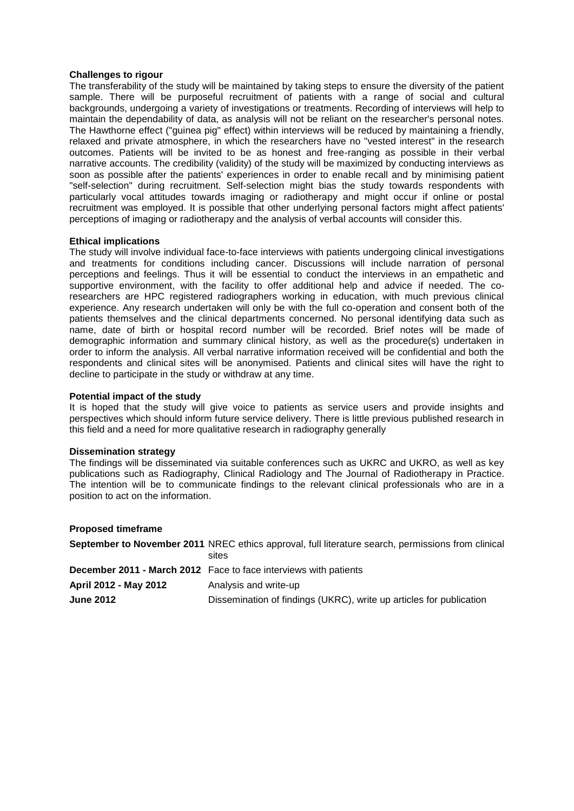# **Challenges to rigour**

The transferability of the study will be maintained by taking steps to ensure the diversity of the patient sample. There will be purposeful recruitment of patients with a range of social and cultural backgrounds, undergoing a variety of investigations or treatments. Recording of interviews will help to maintain the dependability of data, as analysis will not be reliant on the researcher's personal notes. The Hawthorne effect ("guinea pig" effect) within interviews will be reduced by maintaining a friendly, relaxed and private atmosphere, in which the researchers have no "vested interest" in the research outcomes. Patients will be invited to be as honest and free-ranging as possible in their verbal narrative accounts. The credibility (validity) of the study will be maximized by conducting interviews as soon as possible after the patients' experiences in order to enable recall and by minimising patient "self-selection" during recruitment. Self-selection might bias the study towards respondents with particularly vocal attitudes towards imaging or radiotherapy and might occur if online or postal recruitment was employed. It is possible that other underlying personal factors might affect patients' perceptions of imaging or radiotherapy and the analysis of verbal accounts will consider this.

# **Ethical implications**

The study will involve individual face-to-face interviews with patients undergoing clinical investigations and treatments for conditions including cancer. Discussions will include narration of personal perceptions and feelings. Thus it will be essential to conduct the interviews in an empathetic and supportive environment, with the facility to offer additional help and advice if needed. The coresearchers are HPC registered radiographers working in education, with much previous clinical experience. Any research undertaken will only be with the full co-operation and consent both of the patients themselves and the clinical departments concerned. No personal identifying data such as name, date of birth or hospital record number will be recorded. Brief notes will be made of demographic information and summary clinical history, as well as the procedure(s) undertaken in order to inform the analysis. All verbal narrative information received will be confidential and both the respondents and clinical sites will be anonymised. Patients and clinical sites will have the right to decline to participate in the study or withdraw at any time.

# **Potential impact of the study**

It is hoped that the study will give voice to patients as service users and provide insights and perspectives which should inform future service delivery. There is little previous published research in this field and a need for more qualitative research in radiography generally

# **Dissemination strategy**

The findings will be disseminated via suitable conferences such as UKRC and UKRO, as well as key publications such as Radiography, Clinical Radiology and The Journal of Radiotherapy in Practice. The intention will be to communicate findings to the relevant clinical professionals who are in a position to act on the information.

# **Proposed timeframe**

|                       | <b>September to November 2011</b> NREC ethics approval, full literature search, permissions from clinical<br>sites |
|-----------------------|--------------------------------------------------------------------------------------------------------------------|
|                       | <b>December 2011 - March 2012</b> Face to face interviews with patients                                            |
| April 2012 - May 2012 | Analysis and write-up                                                                                              |
| <b>June 2012</b>      | Dissemination of findings (UKRC), write up articles for publication                                                |